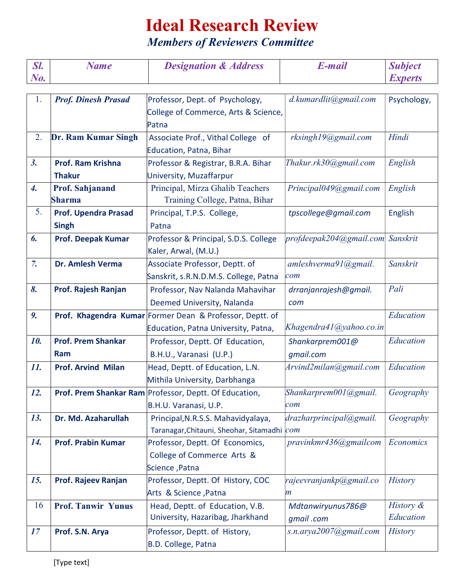## Ideal Research Review

Members of Reviewers Committee

| Sl.                | <b>Name</b>                 | <b>Designation &amp; Address</b>                                                | E-mail                       | <b>Subject</b> |
|--------------------|-----------------------------|---------------------------------------------------------------------------------|------------------------------|----------------|
| $N_{0.}$           |                             |                                                                                 |                              | <b>Experts</b> |
| 1.                 | <b>Prof. Dinesh Prasad</b>  | Professor, Dept. of Psychology,                                                 | d.kumardlit@gmail.com        | Psychology,    |
|                    |                             | College of Commerce, Arts & Science,                                            |                              |                |
|                    |                             | Patna                                                                           |                              |                |
| 2.                 | Dr. Ram Kumar Singh         | Associate Prof., Vithal College of                                              | rksingh19@gmail.com          | Hindi          |
|                    |                             | Education, Patna, Bihar                                                         |                              |                |
| 3.                 | Prof. Ram Krishna           | Professor & Registrar, B.R.A. Bihar                                             | Thakur.rk30@gmail.com        | English        |
|                    | <b>Thakur</b>               | University, Muzaffarpur                                                         |                              |                |
| $\boldsymbol{4}$ . | <b>Prof. Sahjanand</b>      | Principal, Mirza Ghalib Teachers                                                | Principal049@gmail.com       | English        |
|                    | <b>Sharma</b>               | Training College, Patna, Bihar                                                  |                              |                |
| 5.                 | <b>Prof. Upendra Prasad</b> | Principal, T.P.S. College,                                                      | tpscollege@gmail.com         | English        |
|                    | <b>Singh</b>                | Patna                                                                           |                              |                |
| 6.                 | <b>Prof. Deepak Kumar</b>   | Professor & Principal, S.D.S. College                                           | profdeepak204@gmail.com      | Sanskrit       |
|                    |                             | Kaler, Arwal, (M.U.)                                                            |                              |                |
| 7.                 | Dr. Amlesh Verma            | Associate Professor, Deptt. of                                                  | amleshverma91@gmail.         | Sanskrit       |
|                    |                             | Sanskrit, s.R.N.D.M.S. College, Patna                                           | com                          |                |
| 8.                 | Prof. Rajesh Ranjan         | Professor, Nav Nalanda Mahavihar                                                | drranjanrajesh@gmail.        | Pali           |
|                    |                             | Deemed University, Nalanda                                                      | com                          |                |
| 9.                 |                             | Prof. Khagendra Kumar Former Dean & Professor, Deptt. of                        |                              | Education      |
|                    |                             | Education, Patna University, Patna,                                             | Khagendra41@yahoo.co.in      |                |
| 10.                | <b>Prof. Prem Shankar</b>   | Professor, Deptt. Of Education,                                                 | Shankarprem001@              | Education      |
|                    | Ram                         | B.H.U., Varanasi (U.P.)                                                         | qmail.com                    |                |
| 11.                | <b>Prof. Arvind Milan</b>   | Head, Deptt. of Education, L.N.                                                 | Arvind2milan@gmail.com       | Education      |
|                    |                             | Mithila University, Darbhanga                                                   |                              |                |
| 12.                |                             | Prof. Prem Shankar Ram Professor, Deptt. Of Education,<br>B.H.U. Varanasi, U.P. | Shankarprem001@gmail.<br>com | Geography      |
| 13.                | Dr. Md. Azaharullah         | Principal, N.R.S.S. Mahavidyalaya,                                              | drazharprincipal@gmail.      | Geography      |
|                    |                             | Taranagar, Chitauni, Sheohar, Sitamadhi com                                     |                              |                |
| 14.                | <b>Prof. Prabin Kumar</b>   | Professor, Deptt. Of Economics,                                                 | pravinkmr436@gmailcom        | Economics      |
|                    |                             | College of Commerce Arts &                                                      |                              |                |
|                    |                             | Science, Patna                                                                  |                              |                |
| 15.                | Prof. Rajeev Ranjan         | Professor, Deptt. Of History, COC                                               | rajeevranjankp@gmail.co      | <b>History</b> |
|                    |                             | Arts & Science, Patna                                                           | m                            |                |
| 16                 | <b>Prof. Tanwir Yunus</b>   | Head, Deptt. of Education, V.B.                                                 | Mdtanwiryunus786@            | History &      |
|                    |                             | University, Hazaribag, Jharkhand                                                | qmail.com                    | Education      |
| 17                 | Prof. S.N. Arya             | Professor, Deptt. of History,                                                   | s.n.arya2007@gmail.com       | <b>History</b> |
|                    |                             | B.D. College, Patna                                                             |                              |                |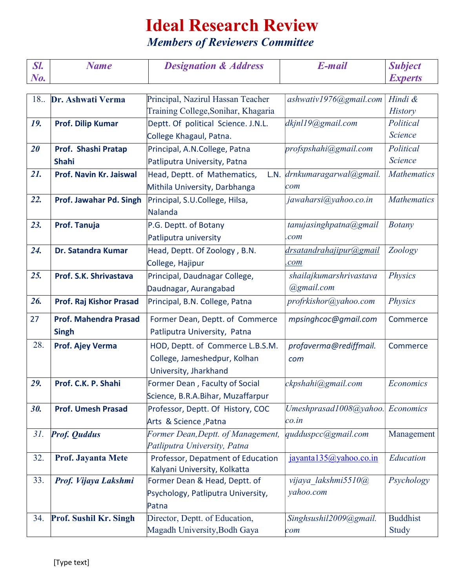## Ideal Research Review

Members of Reviewers Committee

| Sl.        | <b>Name</b>                         | <b>Designation &amp; Address</b>                                                                                                                                                                                                                                                                                                                                                                                                                                                                                                                                                                                                                                                                                                                                                                                                                                                                                                                                                                                                                                                                                                                                                                                                                                                                                                                                                        | E-mail                 | <b>Subject</b>  |  |  |
|------------|-------------------------------------|-----------------------------------------------------------------------------------------------------------------------------------------------------------------------------------------------------------------------------------------------------------------------------------------------------------------------------------------------------------------------------------------------------------------------------------------------------------------------------------------------------------------------------------------------------------------------------------------------------------------------------------------------------------------------------------------------------------------------------------------------------------------------------------------------------------------------------------------------------------------------------------------------------------------------------------------------------------------------------------------------------------------------------------------------------------------------------------------------------------------------------------------------------------------------------------------------------------------------------------------------------------------------------------------------------------------------------------------------------------------------------------------|------------------------|-----------------|--|--|
| $N_{0.}$   |                                     |                                                                                                                                                                                                                                                                                                                                                                                                                                                                                                                                                                                                                                                                                                                                                                                                                                                                                                                                                                                                                                                                                                                                                                                                                                                                                                                                                                                         |                        |                 |  |  |
| 18.        |                                     | <b>Experts</b><br>Principal, Nazirul Hassan Teacher<br>ashwativ1976@gmail.com<br>Hindi &<br>Training College, Sonihar, Khagaria<br><b>History</b><br>dkjnl19@gmail.com<br>Political<br>Deptt. Of political Science. J.N.L.<br><b>Science</b><br>College Khagaul, Patna.<br>profspshahi@gmail.com<br>Political<br>Principal, A.N.College, Patna<br>Science<br>Patliputra University, Patna<br>L.N. drnkumaragarwal@gmail.<br><b>Mathematics</b><br>Head, Deptt. of Mathematics,<br>Mithila University, Darbhanga<br>com<br>jawaharsi@yahoo.co.in<br><b>Mathematics</b><br>Principal, S.U.College, Hilsa,<br>Nalanda<br>tanujasinghpatna@gmail<br><b>Botany</b><br>P.G. Deptt. of Botany<br>Patliputra university<br>.com<br>Head, Deptt. Of Zoology, B.N.<br>drsatandrahajipur@gmail<br>Zoology<br>College, Hajipur<br>.com<br>shailajkumarshrivastava<br>Principal, Daudnagar College,<br><b>Physics</b><br>@gmail.com<br>Daudnagar, Aurangabad<br>profrkishor@yahoo.com<br><b>Physics</b><br>Principal, B.N. College, Patna<br>Former Dean, Deptt. of Commerce<br>mpsinghcoc@gmail.com<br>Commerce<br>Patliputra University, Patna<br>HOD, Deptt. of Commerce L.B.S.M.<br>profaverma@rediffmail.<br>Commerce<br>College, Jameshedpur, Kolhan<br>com<br>University, Jharkhand<br>Former Dean, Faculty of Social<br>ckpshahi@gmail.com<br>Economics<br>Science, B.R.A.Bihar, Muzaffarpur |                        |                 |  |  |
|            | Dr. Ashwati Verma                   |                                                                                                                                                                                                                                                                                                                                                                                                                                                                                                                                                                                                                                                                                                                                                                                                                                                                                                                                                                                                                                                                                                                                                                                                                                                                                                                                                                                         |                        |                 |  |  |
| 19.        | <b>Prof. Dilip Kumar</b>            |                                                                                                                                                                                                                                                                                                                                                                                                                                                                                                                                                                                                                                                                                                                                                                                                                                                                                                                                                                                                                                                                                                                                                                                                                                                                                                                                                                                         |                        |                 |  |  |
|            |                                     |                                                                                                                                                                                                                                                                                                                                                                                                                                                                                                                                                                                                                                                                                                                                                                                                                                                                                                                                                                                                                                                                                                                                                                                                                                                                                                                                                                                         |                        |                 |  |  |
| 20         |                                     |                                                                                                                                                                                                                                                                                                                                                                                                                                                                                                                                                                                                                                                                                                                                                                                                                                                                                                                                                                                                                                                                                                                                                                                                                                                                                                                                                                                         |                        |                 |  |  |
|            | Prof. Shashi Pratap<br><b>Shahi</b> |                                                                                                                                                                                                                                                                                                                                                                                                                                                                                                                                                                                                                                                                                                                                                                                                                                                                                                                                                                                                                                                                                                                                                                                                                                                                                                                                                                                         |                        |                 |  |  |
| 21.        |                                     |                                                                                                                                                                                                                                                                                                                                                                                                                                                                                                                                                                                                                                                                                                                                                                                                                                                                                                                                                                                                                                                                                                                                                                                                                                                                                                                                                                                         |                        |                 |  |  |
|            | Prof. Navin Kr. Jaiswal             |                                                                                                                                                                                                                                                                                                                                                                                                                                                                                                                                                                                                                                                                                                                                                                                                                                                                                                                                                                                                                                                                                                                                                                                                                                                                                                                                                                                         |                        |                 |  |  |
|            |                                     |                                                                                                                                                                                                                                                                                                                                                                                                                                                                                                                                                                                                                                                                                                                                                                                                                                                                                                                                                                                                                                                                                                                                                                                                                                                                                                                                                                                         |                        |                 |  |  |
| 22.        | Prof. Jawahar Pd. Singh             |                                                                                                                                                                                                                                                                                                                                                                                                                                                                                                                                                                                                                                                                                                                                                                                                                                                                                                                                                                                                                                                                                                                                                                                                                                                                                                                                                                                         |                        |                 |  |  |
|            |                                     |                                                                                                                                                                                                                                                                                                                                                                                                                                                                                                                                                                                                                                                                                                                                                                                                                                                                                                                                                                                                                                                                                                                                                                                                                                                                                                                                                                                         |                        |                 |  |  |
| 23.        | Prof. Tanuja                        |                                                                                                                                                                                                                                                                                                                                                                                                                                                                                                                                                                                                                                                                                                                                                                                                                                                                                                                                                                                                                                                                                                                                                                                                                                                                                                                                                                                         |                        |                 |  |  |
|            |                                     |                                                                                                                                                                                                                                                                                                                                                                                                                                                                                                                                                                                                                                                                                                                                                                                                                                                                                                                                                                                                                                                                                                                                                                                                                                                                                                                                                                                         |                        |                 |  |  |
| 24.        | Dr. Satandra Kumar                  |                                                                                                                                                                                                                                                                                                                                                                                                                                                                                                                                                                                                                                                                                                                                                                                                                                                                                                                                                                                                                                                                                                                                                                                                                                                                                                                                                                                         |                        |                 |  |  |
|            |                                     |                                                                                                                                                                                                                                                                                                                                                                                                                                                                                                                                                                                                                                                                                                                                                                                                                                                                                                                                                                                                                                                                                                                                                                                                                                                                                                                                                                                         |                        |                 |  |  |
| 25.        | Prof. S.K. Shrivastava              |                                                                                                                                                                                                                                                                                                                                                                                                                                                                                                                                                                                                                                                                                                                                                                                                                                                                                                                                                                                                                                                                                                                                                                                                                                                                                                                                                                                         |                        |                 |  |  |
|            |                                     |                                                                                                                                                                                                                                                                                                                                                                                                                                                                                                                                                                                                                                                                                                                                                                                                                                                                                                                                                                                                                                                                                                                                                                                                                                                                                                                                                                                         |                        |                 |  |  |
| 26.        | <b>Prof. Raj Kishor Prasad</b>      |                                                                                                                                                                                                                                                                                                                                                                                                                                                                                                                                                                                                                                                                                                                                                                                                                                                                                                                                                                                                                                                                                                                                                                                                                                                                                                                                                                                         |                        |                 |  |  |
| 27         | <b>Prof. Mahendra Prasad</b>        |                                                                                                                                                                                                                                                                                                                                                                                                                                                                                                                                                                                                                                                                                                                                                                                                                                                                                                                                                                                                                                                                                                                                                                                                                                                                                                                                                                                         |                        |                 |  |  |
|            | <b>Singh</b>                        |                                                                                                                                                                                                                                                                                                                                                                                                                                                                                                                                                                                                                                                                                                                                                                                                                                                                                                                                                                                                                                                                                                                                                                                                                                                                                                                                                                                         |                        |                 |  |  |
| 28.        | Prof. Ajey Verma                    |                                                                                                                                                                                                                                                                                                                                                                                                                                                                                                                                                                                                                                                                                                                                                                                                                                                                                                                                                                                                                                                                                                                                                                                                                                                                                                                                                                                         |                        |                 |  |  |
|            |                                     |                                                                                                                                                                                                                                                                                                                                                                                                                                                                                                                                                                                                                                                                                                                                                                                                                                                                                                                                                                                                                                                                                                                                                                                                                                                                                                                                                                                         |                        |                 |  |  |
|            |                                     |                                                                                                                                                                                                                                                                                                                                                                                                                                                                                                                                                                                                                                                                                                                                                                                                                                                                                                                                                                                                                                                                                                                                                                                                                                                                                                                                                                                         |                        |                 |  |  |
| 29.        | Prof. C.K. P. Shahi                 |                                                                                                                                                                                                                                                                                                                                                                                                                                                                                                                                                                                                                                                                                                                                                                                                                                                                                                                                                                                                                                                                                                                                                                                                                                                                                                                                                                                         |                        |                 |  |  |
|            |                                     |                                                                                                                                                                                                                                                                                                                                                                                                                                                                                                                                                                                                                                                                                                                                                                                                                                                                                                                                                                                                                                                                                                                                                                                                                                                                                                                                                                                         |                        |                 |  |  |
| <b>30.</b> | <b>Prof. Umesh Prasad</b>           | Professor, Deptt. Of History, COC                                                                                                                                                                                                                                                                                                                                                                                                                                                                                                                                                                                                                                                                                                                                                                                                                                                                                                                                                                                                                                                                                                                                                                                                                                                                                                                                                       | Umeshprasad1008@yahoo. | Economics       |  |  |
|            |                                     | Arts & Science, Patna                                                                                                                                                                                                                                                                                                                                                                                                                                                                                                                                                                                                                                                                                                                                                                                                                                                                                                                                                                                                                                                                                                                                                                                                                                                                                                                                                                   | co.in                  |                 |  |  |
| 31.        | <b>Prof. Quddus</b>                 | Former Dean, Deptt. of Management,                                                                                                                                                                                                                                                                                                                                                                                                                                                                                                                                                                                                                                                                                                                                                                                                                                                                                                                                                                                                                                                                                                                                                                                                                                                                                                                                                      | qudduspcc@gmail.com    | Management      |  |  |
|            |                                     | Patliputra University, Patna                                                                                                                                                                                                                                                                                                                                                                                                                                                                                                                                                                                                                                                                                                                                                                                                                                                                                                                                                                                                                                                                                                                                                                                                                                                                                                                                                            |                        |                 |  |  |
| 32.        | <b>Prof. Jayanta Mete</b>           | Professor, Depatment of Education                                                                                                                                                                                                                                                                                                                                                                                                                                                                                                                                                                                                                                                                                                                                                                                                                                                                                                                                                                                                                                                                                                                                                                                                                                                                                                                                                       | jayanta135@yahoo.co.in | Education       |  |  |
|            |                                     | Kalyani University, Kolkatta                                                                                                                                                                                                                                                                                                                                                                                                                                                                                                                                                                                                                                                                                                                                                                                                                                                                                                                                                                                                                                                                                                                                                                                                                                                                                                                                                            |                        |                 |  |  |
| 33.        | Prof. Vijaya Lakshmi                | Former Dean & Head, Deptt. of                                                                                                                                                                                                                                                                                                                                                                                                                                                                                                                                                                                                                                                                                                                                                                                                                                                                                                                                                                                                                                                                                                                                                                                                                                                                                                                                                           | vijaya lakshmi5510@    | Psychology      |  |  |
|            |                                     | Psychology, Patliputra University,                                                                                                                                                                                                                                                                                                                                                                                                                                                                                                                                                                                                                                                                                                                                                                                                                                                                                                                                                                                                                                                                                                                                                                                                                                                                                                                                                      | yahoo.com              |                 |  |  |
|            |                                     | Patna                                                                                                                                                                                                                                                                                                                                                                                                                                                                                                                                                                                                                                                                                                                                                                                                                                                                                                                                                                                                                                                                                                                                                                                                                                                                                                                                                                                   |                        |                 |  |  |
| 34.        | Prof. Sushil Kr. Singh              | Director, Deptt. of Education,                                                                                                                                                                                                                                                                                                                                                                                                                                                                                                                                                                                                                                                                                                                                                                                                                                                                                                                                                                                                                                                                                                                                                                                                                                                                                                                                                          | Singhsushil2009@gmail. | <b>Buddhist</b> |  |  |
|            |                                     | Magadh University, Bodh Gaya                                                                                                                                                                                                                                                                                                                                                                                                                                                                                                                                                                                                                                                                                                                                                                                                                                                                                                                                                                                                                                                                                                                                                                                                                                                                                                                                                            | com                    | Study           |  |  |